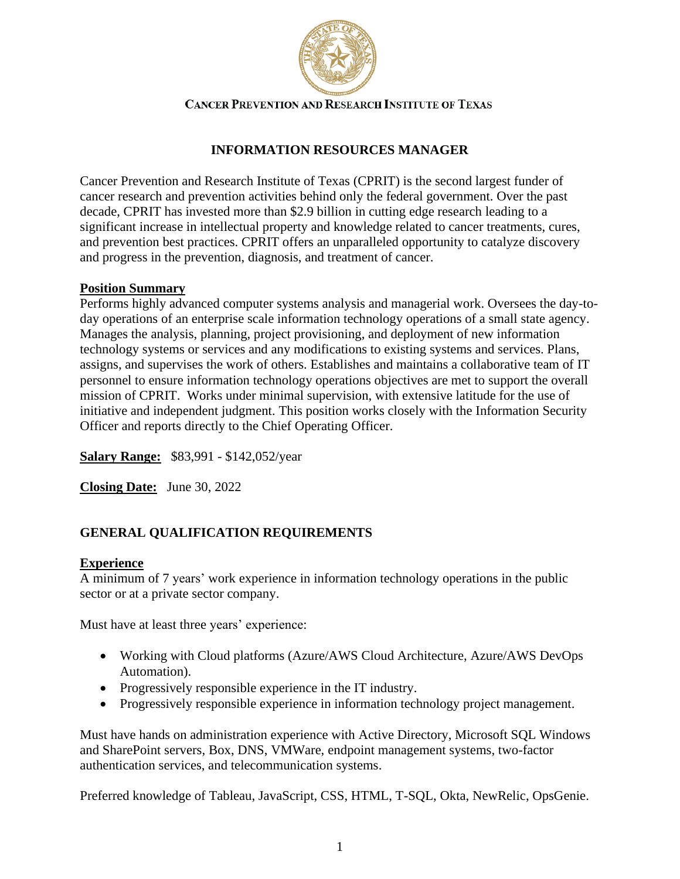

### **CANCER PREVENTION AND RESEARCH INSTITUTE OF TEXAS**

# **INFORMATION RESOURCES MANAGER**

Cancer Prevention and Research Institute of Texas (CPRIT) is the second largest funder of cancer research and prevention activities behind only the federal government. Over the past decade, CPRIT has invested more than \$2.9 billion in cutting edge research leading to a significant increase in intellectual property and knowledge related to cancer treatments, cures, and prevention best practices. CPRIT offers an unparalleled opportunity to catalyze discovery and progress in the prevention, diagnosis, and treatment of cancer.

### **Position Summary**

Performs highly advanced computer systems analysis and managerial work. Oversees the day-today operations of an enterprise scale information technology operations of a small state agency. Manages the analysis, planning, project provisioning, and deployment of new information technology systems or services and any modifications to existing systems and services. Plans, assigns, and supervises the work of others. Establishes and maintains a collaborative team of IT personnel to ensure information technology operations objectives are met to support the overall mission of CPRIT. Works under minimal supervision, with extensive latitude for the use of initiative and independent judgment. This position works closely with the Information Security Officer and reports directly to the Chief Operating Officer.

**Salary Range:** \$83,991 - \$142,052/year

**Closing Date:** June 30, 2022

# **GENERAL QUALIFICATION REQUIREMENTS**

#### **Experience**

A minimum of 7 years' work experience in information technology operations in the public sector or at a private sector company.

Must have at least three years' experience:

- Working with Cloud platforms (Azure/AWS Cloud Architecture, Azure/AWS DevOps Automation).
- Progressively responsible experience in the IT industry.
- Progressively responsible experience in information technology project management.

Must have hands on administration experience with Active Directory, Microsoft SQL Windows and SharePoint servers, Box, DNS, VMWare, endpoint management systems, two-factor authentication services, and telecommunication systems.

Preferred knowledge of Tableau, JavaScript, CSS, HTML, T-SQL, Okta, NewRelic, OpsGenie.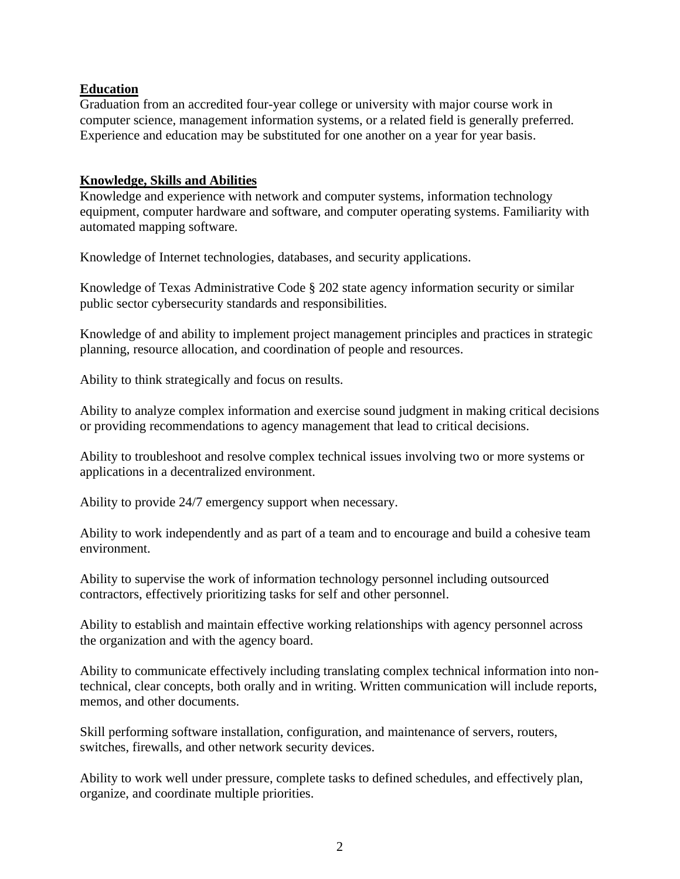### **Education**

Graduation from an accredited four-year college or university with major course work in computer science, management information systems, or a related field is generally preferred. Experience and education may be substituted for one another on a year for year basis.

### **Knowledge, Skills and Abilities**

Knowledge and experience with network and computer systems, information technology equipment, computer hardware and software, and computer operating systems. Familiarity with automated mapping software.

Knowledge of Internet technologies, databases, and security applications.

Knowledge of Texas Administrative Code § 202 state agency information security or similar public sector cybersecurity standards and responsibilities.

Knowledge of and ability to implement project management principles and practices in strategic planning, resource allocation, and coordination of people and resources.

Ability to think strategically and focus on results.

Ability to analyze complex information and exercise sound judgment in making critical decisions or providing recommendations to agency management that lead to critical decisions.

Ability to troubleshoot and resolve complex technical issues involving two or more systems or applications in a decentralized environment.

Ability to provide 24/7 emergency support when necessary.

Ability to work independently and as part of a team and to encourage and build a cohesive team environment.

Ability to supervise the work of information technology personnel including outsourced contractors, effectively prioritizing tasks for self and other personnel.

Ability to establish and maintain effective working relationships with agency personnel across the organization and with the agency board.

Ability to communicate effectively including translating complex technical information into nontechnical, clear concepts, both orally and in writing. Written communication will include reports, memos, and other documents.

Skill performing software installation, configuration, and maintenance of servers, routers, switches, firewalls, and other network security devices.

Ability to work well under pressure, complete tasks to defined schedules, and effectively plan, organize, and coordinate multiple priorities.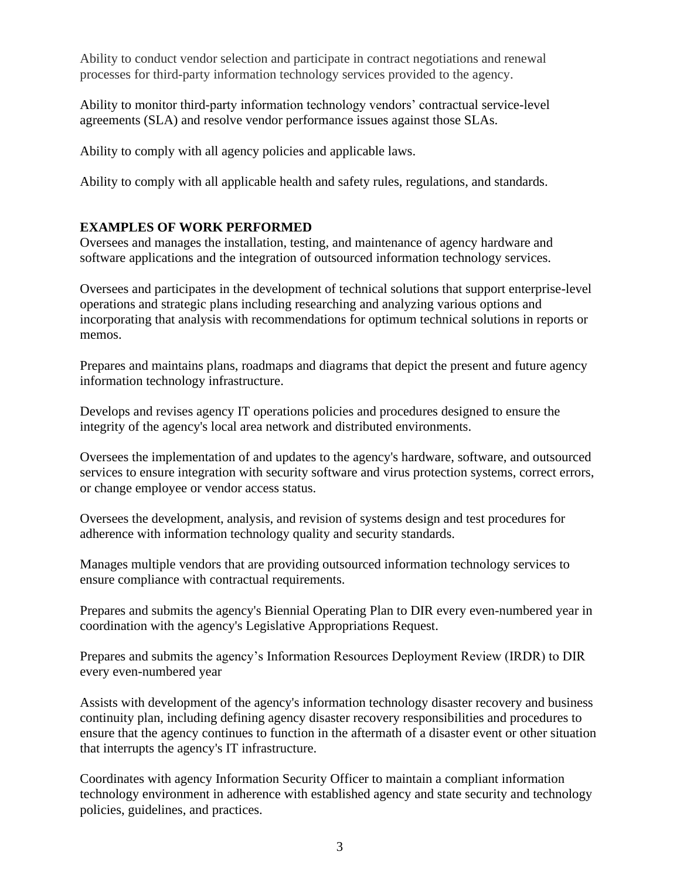Ability to conduct vendor selection and participate in contract negotiations and renewal processes for third-party information technology services provided to the agency.

Ability to monitor third-party information technology vendors' contractual service-level agreements (SLA) and resolve vendor performance issues against those SLAs.

Ability to comply with all agency policies and applicable laws.

Ability to comply with all applicable health and safety rules, regulations, and standards.

### **EXAMPLES OF WORK PERFORMED**

Oversees and manages the installation, testing, and maintenance of agency hardware and software applications and the integration of outsourced information technology services.

Oversees and participates in the development of technical solutions that support enterprise-level operations and strategic plans including researching and analyzing various options and incorporating that analysis with recommendations for optimum technical solutions in reports or memos.

Prepares and maintains plans, roadmaps and diagrams that depict the present and future agency information technology infrastructure.

Develops and revises agency IT operations policies and procedures designed to ensure the integrity of the agency's local area network and distributed environments.

Oversees the implementation of and updates to the agency's hardware, software, and outsourced services to ensure integration with security software and virus protection systems, correct errors, or change employee or vendor access status.

Oversees the development, analysis, and revision of systems design and test procedures for adherence with information technology quality and security standards.

Manages multiple vendors that are providing outsourced information technology services to ensure compliance with contractual requirements.

Prepares and submits the agency's Biennial Operating Plan to DIR every even-numbered year in coordination with the agency's Legislative Appropriations Request.

Prepares and submits the agency's Information Resources Deployment Review (IRDR) to DIR every even-numbered year

Assists with development of the agency's information technology disaster recovery and business continuity plan, including defining agency disaster recovery responsibilities and procedures to ensure that the agency continues to function in the aftermath of a disaster event or other situation that interrupts the agency's IT infrastructure.

Coordinates with agency Information Security Officer to maintain a compliant information technology environment in adherence with established agency and state security and technology policies, guidelines, and practices.